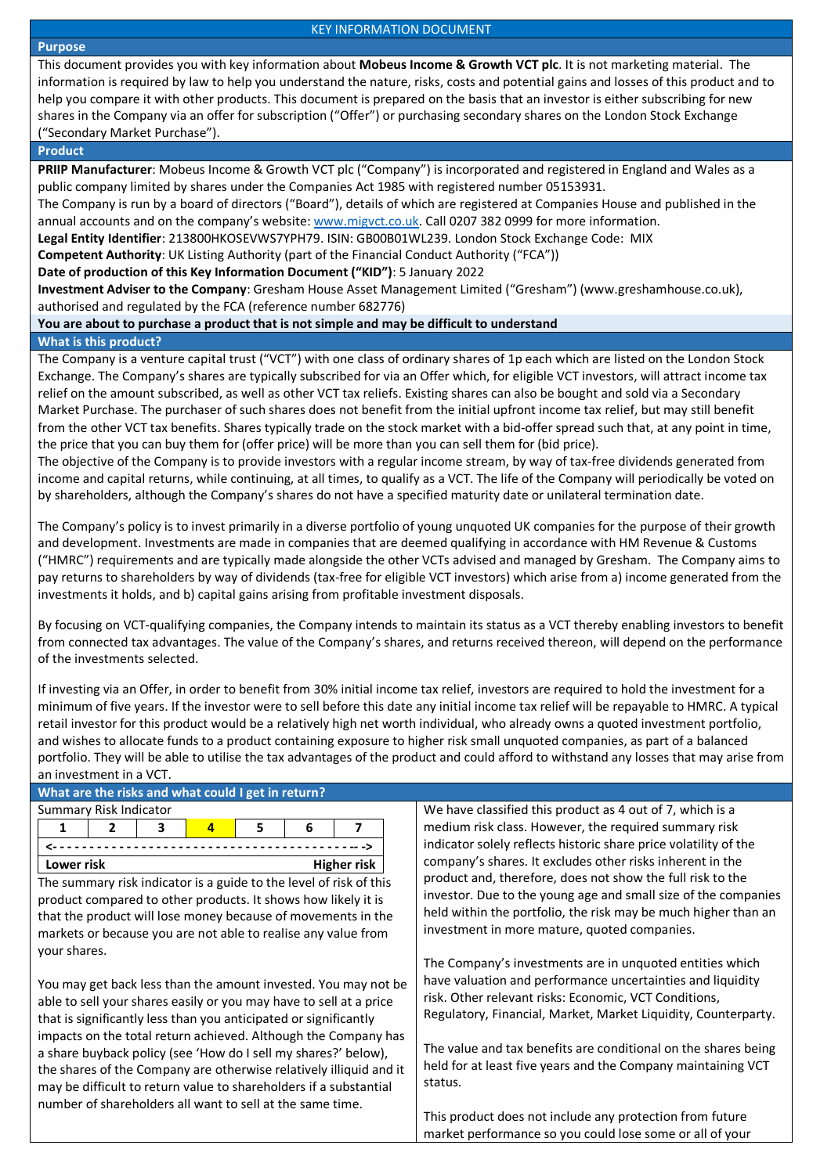#### **Purpose**

#### KEY INFORMATION DOCUMENT

This document provides you with key information about **Mobeus Income & Growth VCT plc**. It is not marketing material. The information is required by law to help you understand the nature, risks, costs and potential gains and losses of this product and to help you compare it with other products. This document is prepared on the basis that an investor is either subscribing for new shares in the Company via an offer for subscription ("Offer") or purchasing secondary shares on the London Stock Exchange ("Secondary Market Purchase").

### **Product**

**PRIIP Manufacturer**: Mobeus Income & Growth VCT plc ("Company") is incorporated and registered in England and Wales as a public company limited by shares under the Companies Act 1985 with registered number 05153931.

The Company is run by a board of directors ("Board"), details of which are registered at Companies House and published in the annual accounts and on the company's website[: www.migvct.co.uk.](http://www.migvct.co.uk/) Call 0207 382 0999 for more information.

**Legal Entity Identifier**: 213800HKOSEVWS7YPH79. ISIN: GB00B01WL239. London Stock Exchange Code: MIX

**Competent Authority**: UK Listing Authority (part of the Financial Conduct Authority ("FCA"))

**Date of production of this Key Information Document ("KID")**: 5 January 2022

**Investment Adviser to the Company**: Gresham House Asset Management Limited ("Gresham") (www.greshamhouse.co.uk), authorised and regulated by the FCA (reference number 682776)

**You are about to purchase a product that is not simple and may be difficult to understand**

## **What is this product?**

The Company is a venture capital trust ("VCT") with one class of ordinary shares of 1p each which are listed on the London Stock Exchange. The Company's shares are typically subscribed for via an Offer which, for eligible VCT investors, will attract income tax relief on the amount subscribed, as well as other VCT tax reliefs. Existing shares can also be bought and sold via a Secondary Market Purchase. The purchaser of such shares does not benefit from the initial upfront income tax relief, but may still benefit from the other VCT tax benefits. Shares typically trade on the stock market with a bid-offer spread such that, at any point in time, the price that you can buy them for (offer price) will be more than you can sell them for (bid price).

The objective of the Company is to provide investors with a regular income stream, by way of tax-free dividends generated from income and capital returns, while continuing, at all times, to qualify as a VCT. The life of the Company will periodically be voted on by shareholders, although the Company's shares do not have a specified maturity date or unilateral termination date.

The Company's policy is to invest primarily in a diverse portfolio of young unquoted UK companies for the purpose of their growth and development. Investments are made in companies that are deemed qualifying in accordance with HM Revenue & Customs ("HMRC") requirements and are typically made alongside the other VCTs advised and managed by Gresham. The Company aims to pay returns to shareholders by way of dividends (tax-free for eligible VCT investors) which arise from a) income generated from the investments it holds, and b) capital gains arising from profitable investment disposals.

By focusing on VCT-qualifying companies, the Company intends to maintain its status as a VCT thereby enabling investors to benefit from connected tax advantages. The value of the Company's shares, and returns received thereon, will depend on the performance of the investments selected.

If investing via an Offer, in order to benefit from 30% initial income tax relief, investors are required to hold the investment for a minimum of five years. If the investor were to sell before this date any initial income tax relief will be repayable to HMRC. A typical retail investor for this product would be a relatively high net worth individual, who already owns a quoted investment portfolio, and wishes to allocate funds to a product containing exposure to higher risk small unquoted companies, as part of a balanced portfolio. They will be able to utilise the tax advantages of the product and could afford to withstand any losses that may arise from an investment in a VCT.

# **What are the risks and what could I get in return?**

| Summary Risk Indicator |                                  |  |  |  |  |  |  |
|------------------------|----------------------------------|--|--|--|--|--|--|
|                        |                                  |  |  |  |  |  |  |
|                        |                                  |  |  |  |  |  |  |
|                        | <b>Higher risk</b><br>Lower risk |  |  |  |  |  |  |

The summary risk indicator is a guide to the level of risk of this product compared to other products. It shows how likely it is that the product will lose money because of movements in the markets or because you are not able to realise any value from your shares.

You may get back less than the amount invested. You may not be able to sell your shares easily or you may have to sell at a price that is significantly less than you anticipated or significantly impacts on the total return achieved. Although the Company has a share buyback policy (see 'How do I sell my shares?' below), the shares of the Company are otherwise relatively illiquid and it may be difficult to return value to shareholders if a substantial number of shareholders all want to sell at the same time.

We have classified this product as 4 out of 7, which is a medium risk class. However, the required summary risk indicator solely reflects historic share price volatility of the company's shares. It excludes other risks inherent in the product and, therefore, does not show the full risk to the investor. Due to the young age and small size of the companies held within the portfolio, the risk may be much higher than an investment in more mature, quoted companies.

The Company's investments are in unquoted entities which have valuation and performance uncertainties and liquidity risk. Other relevant risks: Economic, VCT Conditions, Regulatory, Financial, Market, Market Liquidity, Counterparty.

The value and tax benefits are conditional on the shares being held for at least five years and the Company maintaining VCT status.

This product does not include any protection from future market performance so you could lose some or all of your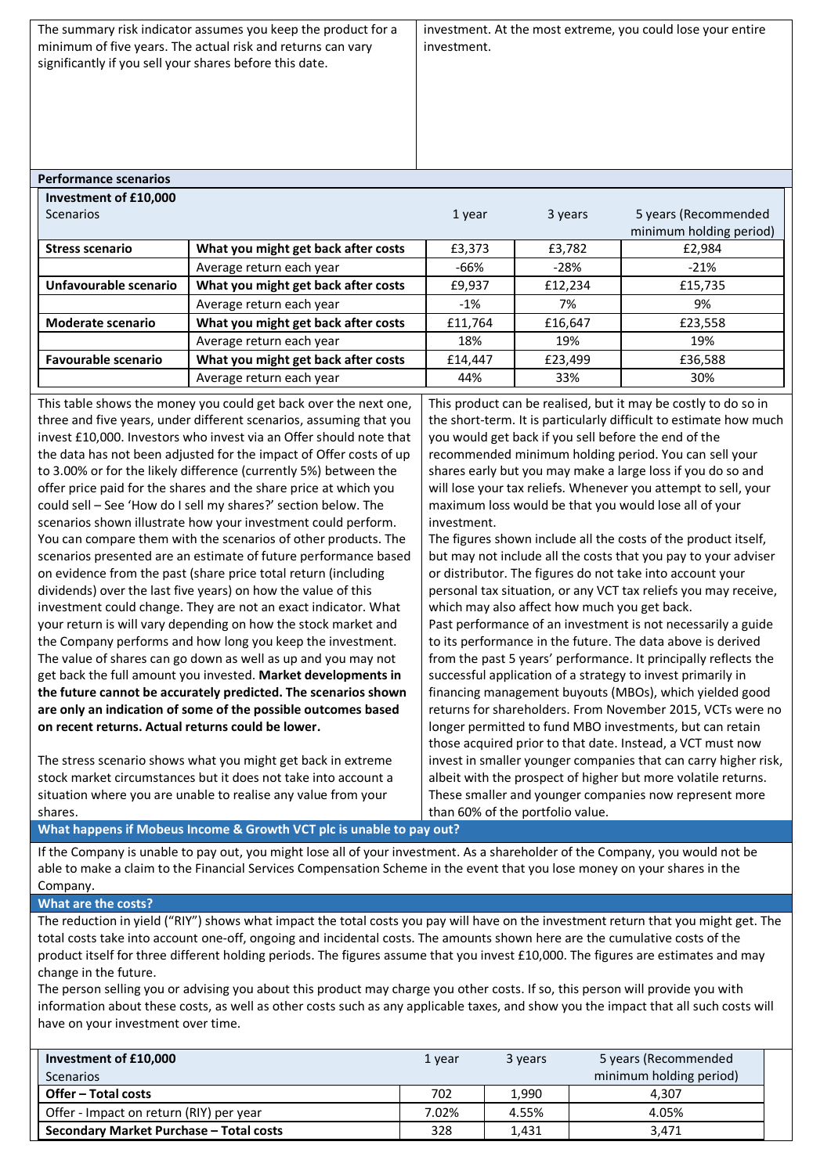The summary risk indicator assumes you keep the product for a minimum of five years. The actual risk and returns can vary significantly if you sell your shares before this date. investment. At the most extreme, you could lose your entire investment. **Performance scenarios Investment of £10,000** Scenarios **1 year** 3 years 5 years 5 years (Recommended minimum holding period) **Stress scenario What you might get back after costs** £3,373 £3,782 £2,984 Average return each year **-66%** -28% -21% **Unfavourable scenario** N **What you might get back after costs**  $\left| \right.$  £9,937  $\left| \right.$  £12,234  $\left.$  £15,735 Average return each year  $\vert$  -1%  $\vert$  7%  $\vert$  9% **Moderate scenario** | What you might get back after costs | £11,764 | £16,647 | £23,558 Average return each year **18%** 18% 19% 19% 19% **Favourable scenario** What you might get back after costs  $\left| \begin{array}{cc} \text{f14,447} \\ \text{f23,499} \end{array} \right|$  £36,588 Average return each year **44%** 44% 33% 30% This table shows the money you could get back over the next one, three and five years, under different scenarios, assuming that you invest £10,000. Investors who invest via an Offer should note that the data has not been adjusted for the impact of Offer costs of up to 3.00% or for the likely difference (currently 5%) between the offer price paid for the shares and the share price at which you could sell – See 'How do I sell my shares?' section below. The scenarios shown illustrate how your investment could perform. You can compare them with the scenarios of other products. The scenarios presented are an estimate of future performance based on evidence from the past (share price total return (including This product can be realised, but it may be costly to do so in the short-term. It is particularly difficult to estimate how much you would get back if you sell before the end of the recommended minimum holding period. You can sell your shares early but you may make a large loss if you do so and will lose your tax reliefs. Whenever you attempt to sell, your maximum loss would be that you would lose all of your investment. The figures shown include all the costs of the product itself, but may not include all the costs that you pay to your adviser or distributor. The figures do not take into account your

**the future cannot be accurately predicted. The scenarios shown**  which may also affect how much you get back. Past performance of an investment is not necessarily a guide to its performance in the future. The data above is derived from the past 5 years' performance. It principally reflects the successful application of a strategy to invest primarily in financing management buyouts (MBOs), which yielded good returns for shareholders. From November 2015, VCTs were no longer permitted to fund MBO investments, but can retain those acquired prior to that date. Instead, a VCT must now invest in smaller younger companies that can carry higher risk, albeit with the prospect of higher but more volatile returns. These smaller and younger companies now represent more than 60% of the portfolio value.

personal tax situation, or any VCT tax reliefs you may receive,

**What happens if Mobeus Income & Growth VCT plc is unable to pay out?** 

dividends) over the last five years) on how the value of this investment could change. They are not an exact indicator. What your return is will vary depending on how the stock market and the Company performs and how long you keep the investment. The value of shares can go down as well as up and you may not get back the full amount you invested. **Market developments in** 

**are only an indication of some of the possible outcomes based** 

The stress scenario shows what you might get back in extreme stock market circumstances but it does not take into account a situation where you are unable to realise any value from your

**on recent returns. Actual returns could be lower.**

If the Company is unable to pay out, you might lose all of your investment. As a shareholder of the Company, you would not be able to make a claim to the Financial Services Compensation Scheme in the event that you lose money on your shares in the Company.

**What are the costs?**

shares.

The reduction in yield ("RIY") shows what impact the total costs you pay will have on the investment return that you might get. The total costs take into account one-off, ongoing and incidental costs. The amounts shown here are the cumulative costs of the product itself for three different holding periods. The figures assume that you invest £10,000. The figures are estimates and may change in the future.

The person selling you or advising you about this product may charge you other costs. If so, this person will provide you with information about these costs, as well as other costs such as any applicable taxes, and show you the impact that all such costs will have on your investment over time.

| Investment of £10,000                   | 1 year | 3 years | 5 years (Recommended    |
|-----------------------------------------|--------|---------|-------------------------|
| Scenarios                               |        |         | minimum holding period) |
| Offer – Total costs                     | 702    | 1,990   | 4.307                   |
| Offer - Impact on return (RIY) per year | 7.02%  | 4.55%   | 4.05%                   |
| Secondary Market Purchase - Total costs | 328    | 1.431   | 3.471                   |